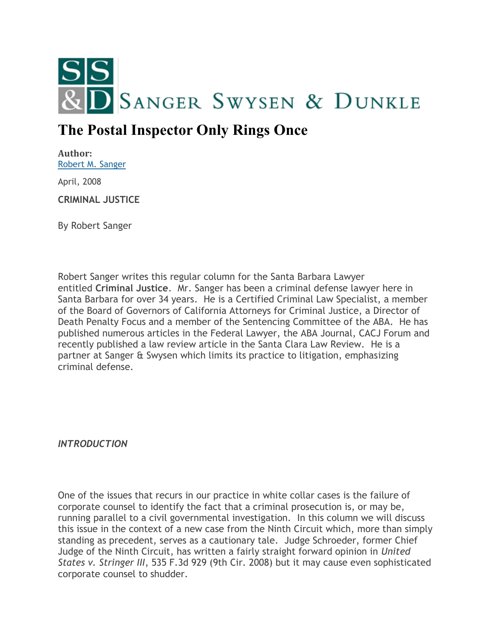

## **The Postal Inspector Only Rings Once**

**Author:** [Robert M. Sanger](http://sangerswysen.com/robert-m-sanger)

April, 2008

**CRIMINAL JUSTICE**

By Robert Sanger

Robert Sanger writes this regular column for the Santa Barbara Lawyer entitled **Criminal Justice**. Mr. Sanger has been a criminal defense lawyer here in Santa Barbara for over 34 years. He is a Certified Criminal Law Specialist, a member of the Board of Governors of California Attorneys for Criminal Justice, a Director of Death Penalty Focus and a member of the Sentencing Committee of the ABA. He has published numerous articles in the Federal Lawyer, the ABA Journal, CACJ Forum and recently published a law review article in the Santa Clara Law Review. He is a partner at Sanger & Swysen which limits its practice to litigation, emphasizing criminal defense.

*INTRODUCTION*

One of the issues that recurs in our practice in white collar cases is the failure of corporate counsel to identify the fact that a criminal prosecution is, or may be, running parallel to a civil governmental investigation. In this column we will discuss this issue in the context of a new case from the Ninth Circuit which, more than simply standing as precedent, serves as a cautionary tale. Judge Schroeder, former Chief Judge of the Ninth Circuit, has written a fairly straight forward opinion in *United States v. Stringer III*, 535 F.3d 929 (9th Cir. 2008) but it may cause even sophisticated corporate counsel to shudder.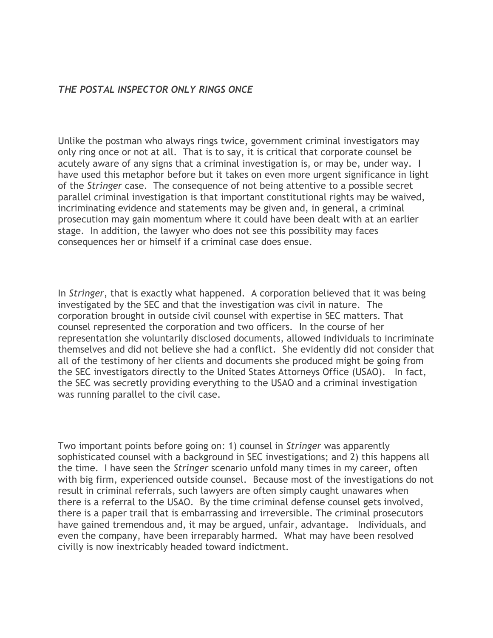## *THE POSTAL INSPECTOR ONLY RINGS ONCE*

Unlike the postman who always rings twice, government criminal investigators may only ring once or not at all. That is to say, it is critical that corporate counsel be acutely aware of any signs that a criminal investigation is, or may be, under way. I have used this metaphor before but it takes on even more urgent significance in light of the *Stringer* case. The consequence of not being attentive to a possible secret parallel criminal investigation is that important constitutional rights may be waived, incriminating evidence and statements may be given and, in general, a criminal prosecution may gain momentum where it could have been dealt with at an earlier stage. In addition, the lawyer who does not see this possibility may faces consequences her or himself if a criminal case does ensue.

In *Stringer*, that is exactly what happened. A corporation believed that it was being investigated by the SEC and that the investigation was civil in nature. The corporation brought in outside civil counsel with expertise in SEC matters. That counsel represented the corporation and two officers. In the course of her representation she voluntarily disclosed documents, allowed individuals to incriminate themselves and did not believe she had a conflict. She evidently did not consider that all of the testimony of her clients and documents she produced might be going from the SEC investigators directly to the United States Attorneys Office (USAO). In fact, the SEC was secretly providing everything to the USAO and a criminal investigation was running parallel to the civil case.

Two important points before going on: 1) counsel in *Stringer* was apparently sophisticated counsel with a background in SEC investigations; and 2) this happens all the time. I have seen the *Stringer* scenario unfold many times in my career, often with big firm, experienced outside counsel. Because most of the investigations do not result in criminal referrals, such lawyers are often simply caught unawares when there is a referral to the USAO. By the time criminal defense counsel gets involved, there is a paper trail that is embarrassing and irreversible. The criminal prosecutors have gained tremendous and, it may be argued, unfair, advantage. Individuals, and even the company, have been irreparably harmed. What may have been resolved civilly is now inextricably headed toward indictment.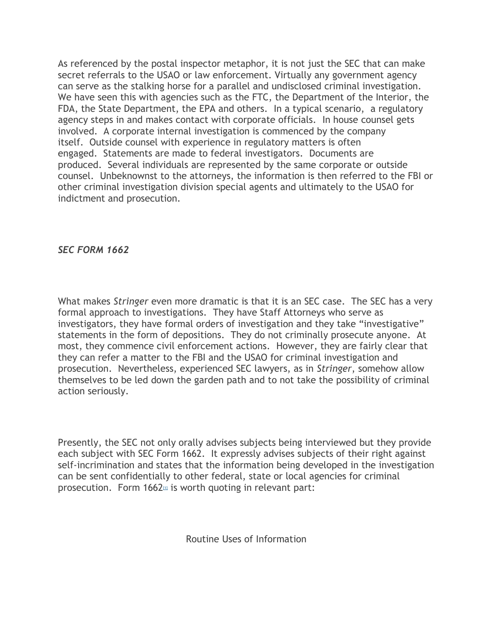As referenced by the postal inspector metaphor, it is not just the SEC that can make secret referrals to the USAO or law enforcement. Virtually any government agency can serve as the stalking horse for a parallel and undisclosed criminal investigation. We have seen this with agencies such as the FTC, the Department of the Interior, the FDA, the State Department, the EPA and others. In a typical scenario, a regulatory agency steps in and makes contact with corporate officials. In house counsel gets involved. A corporate internal investigation is commenced by the company itself. Outside counsel with experience in regulatory matters is often engaged. Statements are made to federal investigators. Documents are produced. Several individuals are represented by the same corporate or outside counsel. Unbeknownst to the attorneys, the information is then referred to the FBI or other criminal investigation division special agents and ultimately to the USAO for indictment and prosecution.

*SEC FORM 1662*

What makes *Stringer* even more dramatic is that it is an SEC case. The SEC has a very formal approach to investigations. They have Staff Attorneys who serve as investigators, they have formal orders of investigation and they take "investigative" statements in the form of depositions. They do not criminally prosecute anyone. At most, they commence civil enforcement actions. However, they are fairly clear that they can refer a matter to the FBI and the USAO for criminal investigation and prosecution. Nevertheless, experienced SEC lawyers, as in *Stringer*, somehow allow themselves to be led down the garden path and to not take the possibility of criminal action seriously.

Presently, the SEC not only orally advises subjects being interviewed but they provide each subject with SEC Form 1662. It expressly advises subjects of their right against self-incrimination and states that the information being developed in the investigation can be sent confidentially to other federal, state or local agencies for criminal prosecution. Form  $1662<sub>11</sub>$  $1662<sub>11</sub>$  $1662<sub>11</sub>$  is worth quoting in relevant part:

Routine Uses of Information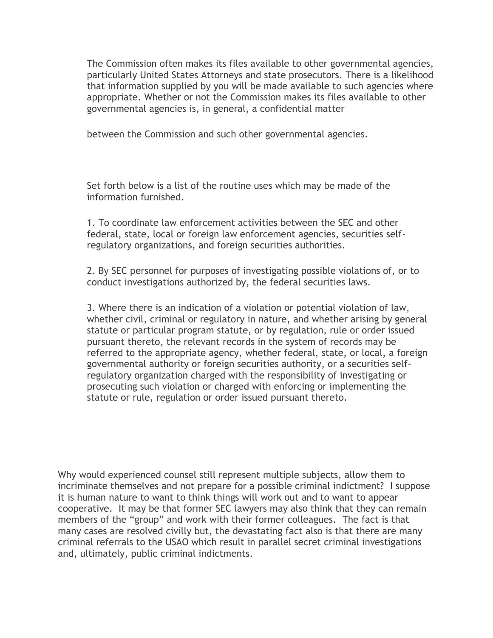The Commission often makes its files available to other governmental agencies, particularly United States Attorneys and state prosecutors. There is a likelihood that information supplied by you will be made available to such agencies where appropriate. Whether or not the Commission makes its files available to other governmental agencies is, in general, a confidential matter

between the Commission and such other governmental agencies.

Set forth below is a list of the routine uses which may be made of the information furnished.

1. To coordinate law enforcement activities between the SEC and other federal, state, local or foreign law enforcement agencies, securities selfregulatory organizations, and foreign securities authorities.

2. By SEC personnel for purposes of investigating possible violations of, or to conduct investigations authorized by, the federal securities laws.

3. Where there is an indication of a violation or potential violation of law, whether civil, criminal or regulatory in nature, and whether arising by general statute or particular program statute, or by regulation, rule or order issued pursuant thereto, the relevant records in the system of records may be referred to the appropriate agency, whether federal, state, or local, a foreign governmental authority or foreign securities authority, or a securities selfregulatory organization charged with the responsibility of investigating or prosecuting such violation or charged with enforcing or implementing the statute or rule, regulation or order issued pursuant thereto.

Why would experienced counsel still represent multiple subjects, allow them to incriminate themselves and not prepare for a possible criminal indictment? I suppose it is human nature to want to think things will work out and to want to appear cooperative. It may be that former SEC lawyers may also think that they can remain members of the "group" and work with their former colleagues. The fact is that many cases are resolved civilly but, the devastating fact also is that there are many criminal referrals to the USAO which result in parallel secret criminal investigations and, ultimately, public criminal indictments.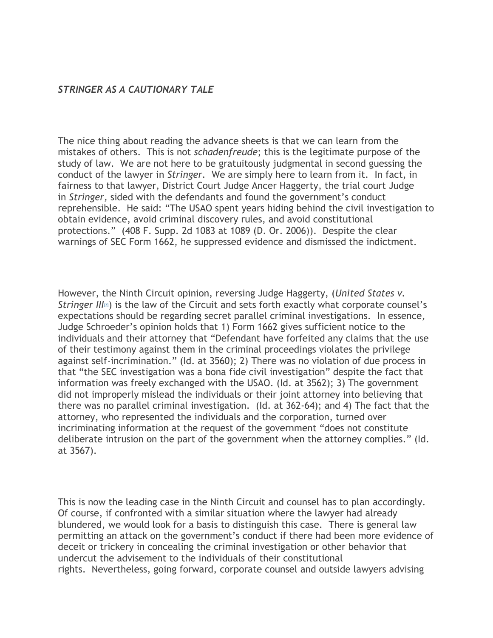## *STRINGER AS A CAUTIONARY TALE*

The nice thing about reading the advance sheets is that we can learn from the mistakes of others. This is not *schadenfreude*; this is the legitimate purpose of the study of law. We are not here to be gratuitously judgmental in second guessing the conduct of the lawyer in *Stringer.* We are simply here to learn from it. In fact, in fairness to that lawyer, District Court Judge Ancer Haggerty, the trial court Judge in *Stringer,* sided with the defendants and found the government's conduct reprehensible. He said: "The USAO spent years hiding behind the civil investigation to obtain evidence, avoid criminal discovery rules, and avoid constitutional protections." (408 F. Supp. 2d 1083 at 1089 (D. Or. 2006)). Despite the clear warnings of SEC Form 1662, he suppressed evidence and dismissed the indictment.

However, the Ninth Circuit opinion, reversing Judge Haggerty, (*United States v. Stringer [I](#page-5-1)II*<sup>2</sup> is the law of the Circuit and sets forth exactly what corporate counsel's expectations should be regarding secret parallel criminal investigations. In essence, Judge Schroeder's opinion holds that 1) Form 1662 gives sufficient notice to the individuals and their attorney that "Defendant have forfeited any claims that the use of their testimony against them in the criminal proceedings violates the privilege against self-incrimination." (Id. at 3560); 2) There was no violation of due process in that "the SEC investigation was a bona fide civil investigation" despite the fact that information was freely exchanged with the USAO. (Id. at 3562); 3) The government did not improperly mislead the individuals or their joint attorney into believing that there was no parallel criminal investigation. (Id. at 362-64); and 4) The fact that the attorney, who represented the individuals and the corporation, turned over incriminating information at the request of the government "does not constitute deliberate intrusion on the part of the government when the attorney complies." (Id. at 3567).

This is now the leading case in the Ninth Circuit and counsel has to plan accordingly. Of course, if confronted with a similar situation where the lawyer had already blundered, we would look for a basis to distinguish this case. There is general law permitting an attack on the government's conduct if there had been more evidence of deceit or trickery in concealing the criminal investigation or other behavior that undercut the advisement to the individuals of their constitutional rights. Nevertheless, going forward, corporate counsel and outside lawyers advising